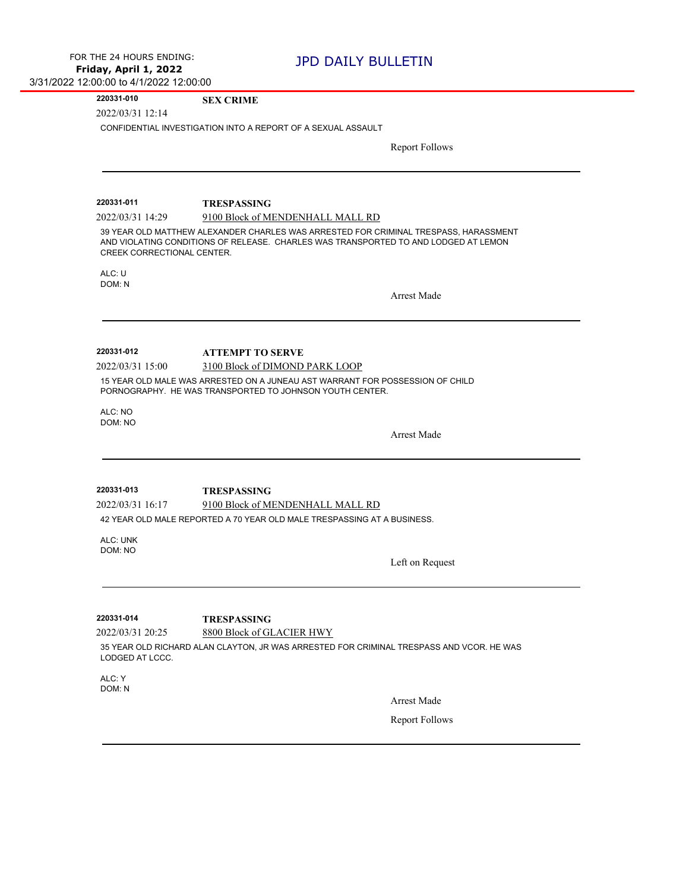## **220331-010 SEX CRIME**

2022/03/31 12:14

CONFIDENTIAL INVESTIGATION INTO A REPORT OF A SEXUAL ASSAULT

Report Follows

2022/03/31 14:29 9100 Block of MENDENHALL MALL RD **220331-011 TRESPASSING** 39 YEAR OLD MATTHEW ALEXANDER CHARLES WAS ARRESTED FOR CRIMINAL TRESPASS, HARASSMENT AND VIOLATING CONDITIONS OF RELEASE. CHARLES WAS TRANSPORTED TO AND LODGED AT LEMON CREEK CORRECTIONAL CENTER. ALC: U DOM: N Arrest Made 2022/03/31 15:00 3100 Block of DIMOND PARK LOOP **220331-012 ATTEMPT TO SERVE** 15 YEAR OLD MALE WAS ARRESTED ON A JUNEAU AST WARRANT FOR POSSESSION OF CHILD PORNOGRAPHY. HE WAS TRANSPORTED TO JOHNSON YOUTH CENTER. ALC: NO DOM: NO Arrest Made 2022/03/31 16:17 9100 Block of MENDENHALL MALL RD **220331-013 TRESPASSING** 42 YEAR OLD MALE REPORTED A 70 YEAR OLD MALE TRESPASSING AT A BUSINESS. ALC: UNK DOM: NO Left on Request 2022/03/31 20:25 8800 Block of GLACIER HWY **220331-014 TRESPASSING** 35 YEAR OLD RICHARD ALAN CLAYTON, JR WAS ARRESTED FOR CRIMINAL TRESPASS AND VCOR. HE WAS LODGED AT LCCC. ALC: Y DOM: N Arrest Made Report Follows